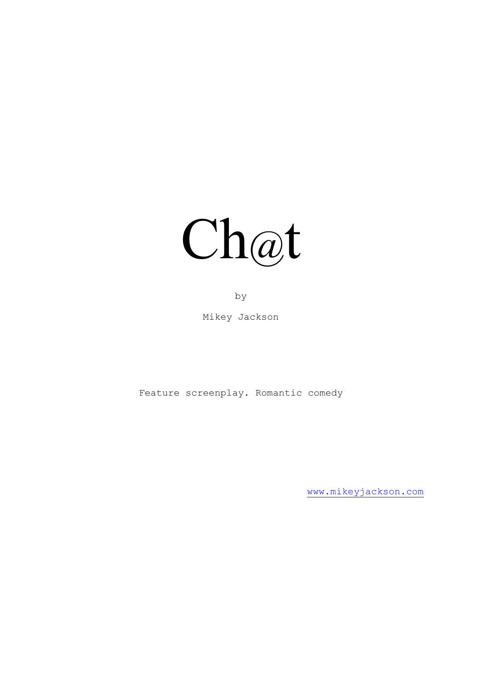

by

Mikey Jackson

Feature screenplay. Romantic comedy

[www.mikeyjackson.com](http://www.mikeyjackson.com/)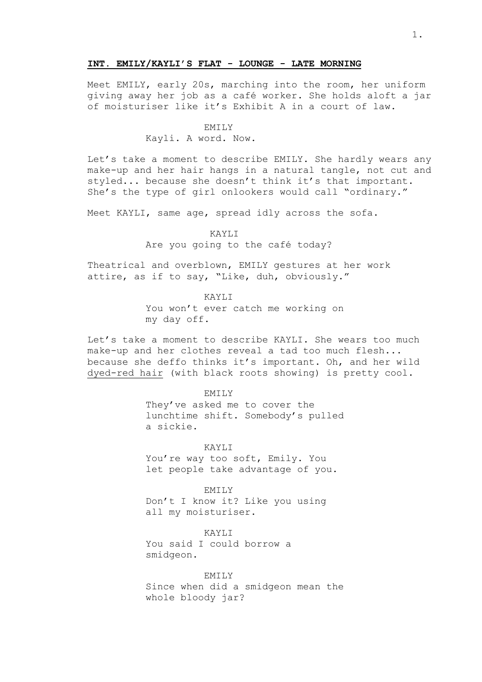## **INT. EMILY/KAYLI'S FLAT - LOUNGE - LATE MORNING**

Meet EMILY, early 20s, marching into the room, her uniform giving away her job as a café worker. She holds aloft a jar of moisturiser like it's Exhibit A in a court of law.

#### EMILY

Kayli. A word. Now.

Let's take a moment to describe EMILY. She hardly wears any make-up and her hair hangs in a natural tangle, not cut and styled... because she doesn't think it's that important. She's the type of girl onlookers would call "ordinary."

Meet KAYLI, same age, spread idly across the sofa.

KAYLI

Are you going to the café today?

Theatrical and overblown, EMILY gestures at her work attire, as if to say, "Like, duh, obviously."

KAYLI

You won't ever catch me working on my day off.

Let's take a moment to describe KAYLI. She wears too much make-up and her clothes reveal a tad too much flesh... because she deffo thinks it's important. Oh, and her wild dyed-red hair (with black roots showing) is pretty cool.

EMILY

They've asked me to cover the lunchtime shift. Somebody's pulled a sickie.

KAYLI You're way too soft, Emily. You let people take advantage of you.

EMILY Don't I know it? Like you using all my moisturiser.

KAYLI You said I could borrow a smidgeon.

EMILY Since when did a smidgeon mean the whole bloody jar?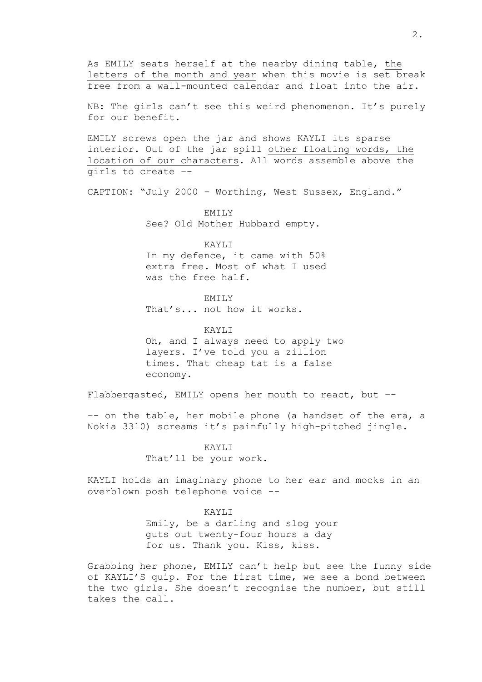As EMILY seats herself at the nearby dining table, the letters of the month and year when this movie is set break free from a wall-mounted calendar and float into the air.

NB: The girls can't see this weird phenomenon. It's purely for our benefit.

EMILY screws open the jar and shows KAYLI its sparse interior. Out of the jar spill other floating words, the location of our characters. All words assemble above the girls to create –-

CAPTION: "July 2000 – Worthing, West Sussex, England."

EMILY See? Old Mother Hubbard empty.

KAYLI In my defence, it came with 50% extra free. Most of what I used was the free half.

EMILY That's... not how it works.

KAYLI Oh, and I always need to apply two layers. I've told you a zillion times. That cheap tat is a false economy.

Flabbergasted, EMILY opens her mouth to react, but –-

–- on the table, her mobile phone (a handset of the era, a Nokia 3310) screams it's painfully high-pitched jingle.

> KAYLI That'll be your work.

KAYLI holds an imaginary phone to her ear and mocks in an overblown posh telephone voice --

> KAYLI Emily, be a darling and slog your guts out twenty-four hours a day for us. Thank you. Kiss, kiss.

Grabbing her phone, EMILY can't help but see the funny side of KAYLI'S quip. For the first time, we see a bond between the two girls. She doesn't recognise the number, but still takes the call.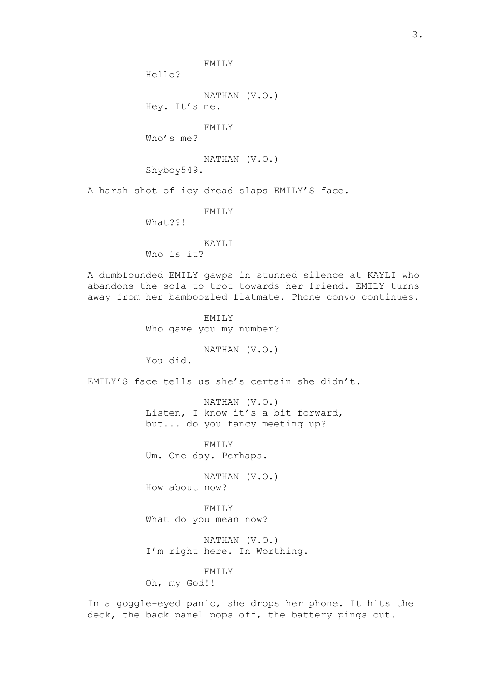EMILY

Hello?

NATHAN (V.O.) Hey. It's me.

EMILY

Who's me?

NATHAN (V.O.)

Shyboy549.

A harsh shot of icy dread slaps EMILY'S face.

EMILY

What??!

KAYLI

Who is it?

A dumbfounded EMILY gawps in stunned silence at KAYLI who abandons the sofa to trot towards her friend. EMILY turns away from her bamboozled flatmate. Phone convo continues.

> EMILY Who gave you my number?

> > NATHAN (V.O.)

You did.

EMILY'S face tells us she's certain she didn't.

NATHAN (V.O.) Listen, I know it's a bit forward, but... do you fancy meeting up?

EMILY Um. One day. Perhaps.

NATHAN (V.O.) How about now?

EMILY What do you mean now?

NATHAN (V.O.) I'm right here. In Worthing.

EMILY

Oh, my God!!

In a goggle-eyed panic, she drops her phone. It hits the deck, the back panel pops off, the battery pings out.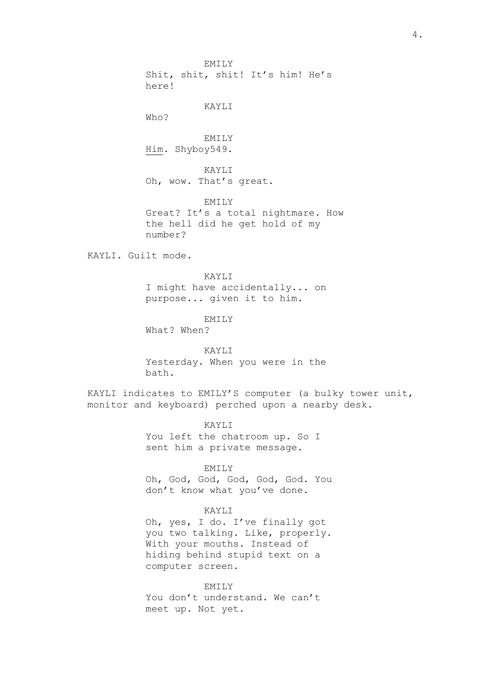EMILY Shit, shit, shit! It's him! He's here! KAYLI Who? EMILY Him. Shyboy549. KAYLI Oh, wow. That's great. EMILY Great? It's a total nightmare. How the hell did he get hold of my number? KAYLI. Guilt mode. KAYLI I might have accidentally... on purpose... given it to him. EMILY

What? When?

KAYLI Yesterday. When you were in the bath.

KAYLI indicates to EMILY'S computer (a bulky tower unit, monitor and keyboard) perched upon a nearby desk.

> KAYLI You left the chatroom up. So I sent him a private message.

## EMILY

Oh, God, God, God, God, God. You don't know what you've done.

# KAYLI

Oh, yes, I do. I've finally got you two talking. Like, properly. With your mouths. Instead of hiding behind stupid text on a computer screen.

EMILY You don't understand. We can't meet up. Not yet.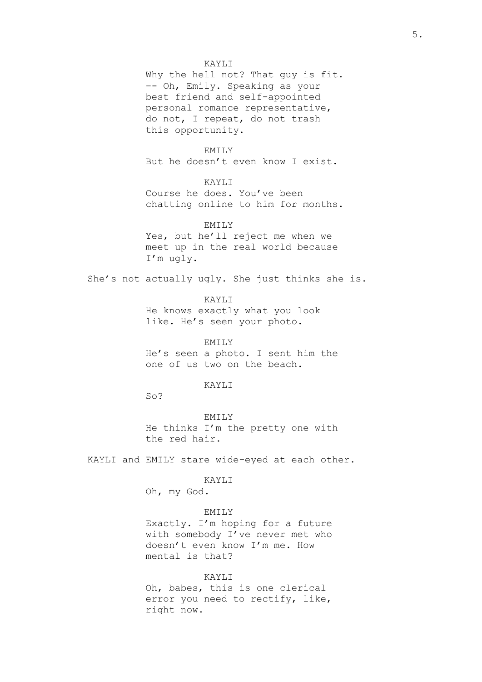Why the hell not? That guy is fit. –- Oh, Emily. Speaking as your best friend and self-appointed personal romance representative, do not, I repeat, do not trash this opportunity.

# EMILY

But he doesn't even know I exist.

# KAYLI

Course he does. You've been chatting online to him for months.

# EMILY

Yes, but he'll reject me when we meet up in the real world because I'm ugly.

She's not actually ugly. She just thinks she is.

KAYLI He knows exactly what you look like. He's seen your photo.

EMILY He's seen a photo. I sent him the one of us two on the beach.

# KAYLI

 $SO<sub>2</sub>$ 

EMILY He thinks I'm the pretty one with the red hair.

KAYLI and EMILY stare wide-eyed at each other.

#### KAYLI

Oh, my God.

# EMILY

Exactly. I'm hoping for a future with somebody I've never met who doesn't even know I'm me. How mental is that?

#### KAYLI

Oh, babes, this is one clerical error you need to rectify, like, right now.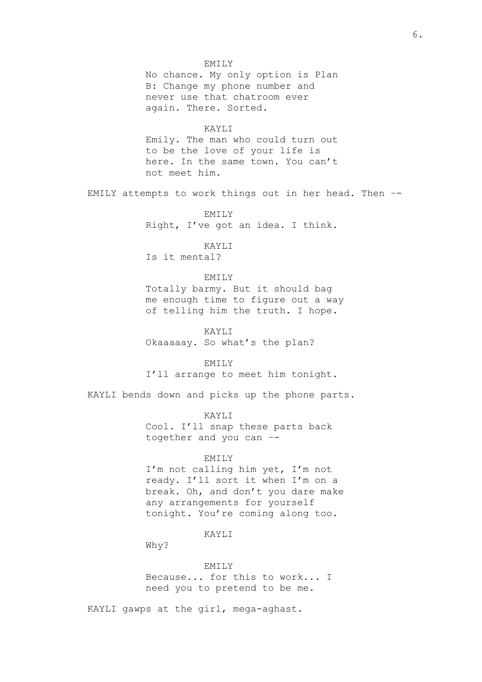## EMILY

No chance. My only option is Plan B: Change my phone number and never use that chatroom ever again. There. Sorted.

# KAYLI

Emily. The man who could turn out to be the love of your life is here. In the same town. You can't not meet him.

EMILY attempts to work things out in her head. Then –-

EMILY Right, I've got an idea. I think.

# KAYLI

Is it mental?

### EMILY

Totally barmy. But it should bag me enough time to figure out a way of telling him the truth. I hope.

KAYLI

Okaaaaay. So what's the plan?

EMILY

I'll arrange to meet him tonight.

KAYLI bends down and picks up the phone parts.

KAYLI Cool. I'll snap these parts back together and you can –-

### EMILY

I'm not calling him yet, I'm not ready. I'll sort it when I'm on a break. Oh, and don't you dare make any arrangements for yourself tonight. You're coming along too.

## KAYLI

Why?

EMILY Because... for this to work... I

need you to pretend to be me.

KAYLI gawps at the girl, mega-aghast.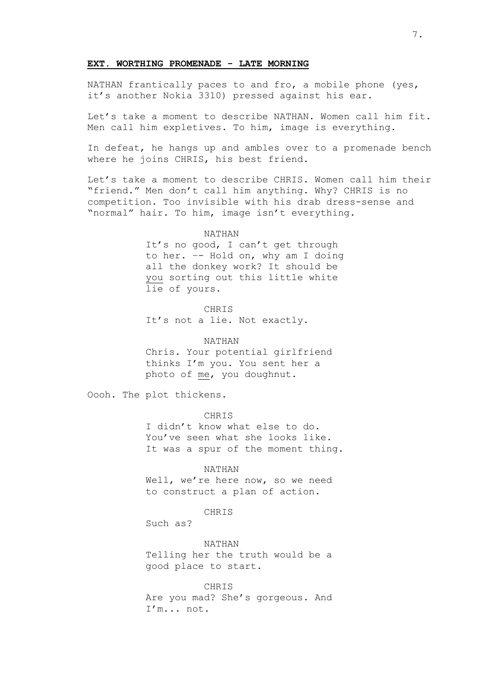### **EXT. WORTHING PROMENADE - LATE MORNING**

NATHAN frantically paces to and fro, a mobile phone (yes, it's another Nokia 3310) pressed against his ear.

Let's take a moment to describe NATHAN. Women call him fit. Men call him expletives. To him, image is everything.

In defeat, he hangs up and ambles over to a promenade bench where he joins CHRIS, his best friend.

Let's take a moment to describe CHRIS. Women call him their "friend." Men don't call him anything. Why? CHRIS is no competition. Too invisible with his drab dress-sense and "normal" hair. To him, image isn't everything.

#### NATHAN

It's no good, I can't get through to her. –- Hold on, why am I doing all the donkey work? It should be you sorting out this little white lie of yours.

CHRIS

It's not a lie. Not exactly.

### NATHAN

Chris. Your potential girlfriend thinks I'm you. You sent her a photo of me, you doughnut.

Oooh. The plot thickens.

CHRIS

I didn't know what else to do. You've seen what she looks like. It was a spur of the moment thing.

#### NATHAN

Well, we're here now, so we need to construct a plan of action.

# **CHRIS**

Such as?

NATHAN

Telling her the truth would be a good place to start.

CHRIS Are you mad? She's gorgeous. And I'm... not.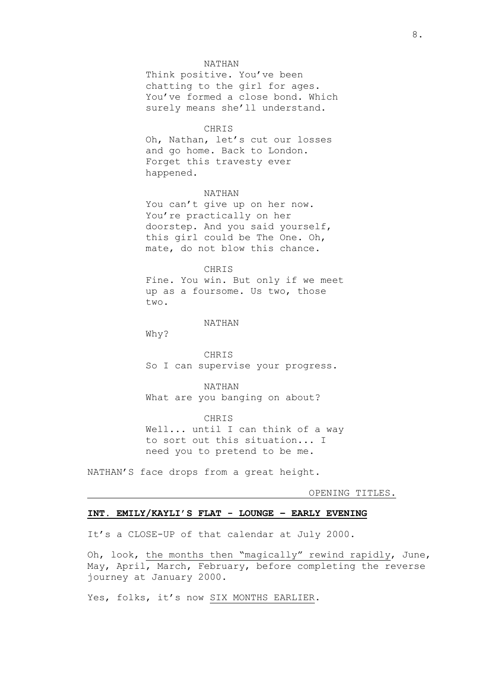### NATHAN

Think positive. You've been chatting to the girl for ages. You've formed a close bond. Which surely means she'll understand.

### CHRIS

Oh, Nathan, let's cut our losses and go home. Back to London. Forget this travesty ever happened.

# NATHAN

You can't give up on her now. You're practically on her doorstep. And you said yourself, this girl could be The One. Oh, mate, do not blow this chance.

### CHRIS

Fine. You win. But only if we meet up as a foursome. Us two, those two.

# NATHAN

Why?

CHRIS So I can supervise your progress.

NATHAN What are you banging on about?

CHRIS Well... until I can think of a way to sort out this situation... I need you to pretend to be me.

NATHAN'S face drops from a great height.

OPENING TITLES.

# **INT. EMILY/KAYLI'S FLAT - LOUNGE – EARLY EVENING**

It's a CLOSE-UP of that calendar at July 2000.

Oh, look, the months then "magically" rewind rapidly, June, May, April, March, February, before completing the reverse journey at January 2000.

Yes, folks, it's now SIX MONTHS EARLIER.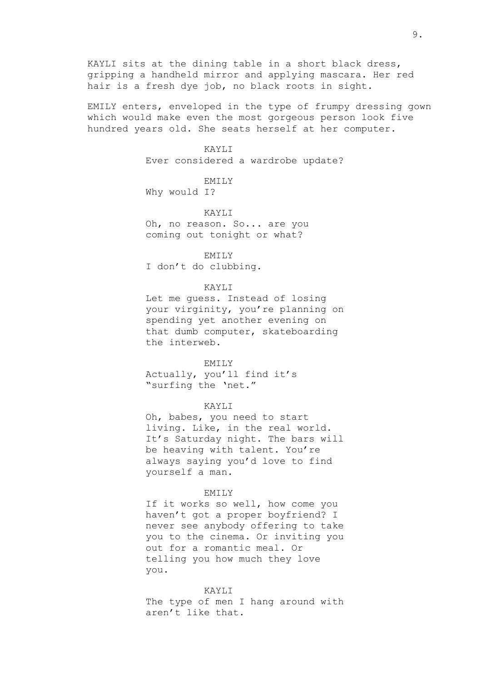KAYLI sits at the dining table in a short black dress, gripping a handheld mirror and applying mascara. Her red hair is a fresh dye job, no black roots in sight.

EMILY enters, enveloped in the type of frumpy dressing gown which would make even the most gorgeous person look five hundred years old. She seats herself at her computer.

# KAYLI

Ever considered a wardrobe update?

EMILY

Why would I?

# KAYLI

Oh, no reason. So... are you coming out tonight or what?

EMILY

I don't do clubbing.

# KAYLI

Let me guess. Instead of losing your virginity, you're planning on spending yet another evening on that dumb computer, skateboarding the interweb.

#### EMILY

Actually, you'll find it's "surfing the 'net."

# KAYLI

Oh, babes, you need to start living. Like, in the real world. It's Saturday night. The bars will be heaving with talent. You're always saying you'd love to find yourself a man.

## EMILY

If it works so well, how come you haven't got a proper boyfriend? I never see anybody offering to take you to the cinema. Or inviting you out for a romantic meal. Or telling you how much they love you.

### KAYLI

The type of men I hang around with aren't like that.